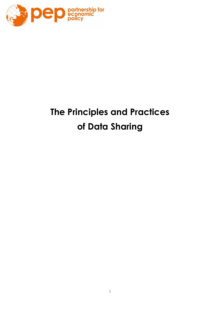

# **The Principles and Practices of Data Sharing**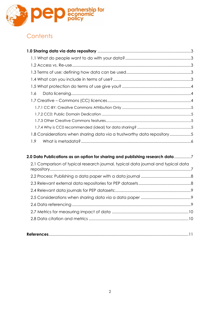

# **Contents**

| 1.6                                                                     |  |
|-------------------------------------------------------------------------|--|
|                                                                         |  |
|                                                                         |  |
|                                                                         |  |
|                                                                         |  |
|                                                                         |  |
| 1.8 Considerations when sharing data via a trustworthy data repository5 |  |
| 1.9 <sup>°</sup>                                                        |  |
|                                                                         |  |

| 2.0 Data Publications as an option for sharing and publishing research data 7     |  |
|-----------------------------------------------------------------------------------|--|
| 2.1 Comparison of typical research journal, typical data journal and typical data |  |
|                                                                                   |  |
|                                                                                   |  |
|                                                                                   |  |
|                                                                                   |  |
|                                                                                   |  |
|                                                                                   |  |
|                                                                                   |  |
|                                                                                   |  |

|--|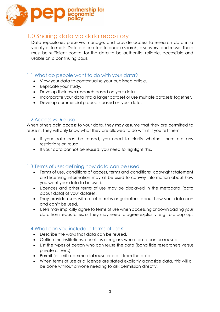

# <span id="page-2-0"></span>1.0 Sharing data via data repository

Data repositories preserve, manage, and provide access to research data in a variety of formats. Data are curated to enable search, discovery, and reuse. There must be sufficient control for the data to be authentic, reliable, accessible and usable on a continuing basis.

# <span id="page-2-1"></span>1.1 What do people want to do with your data?

- View your data to contextualise your published article.
- Replicate your study.
- Develop their own research based on your data.
- Incorporate your data into a larger dataset or use multiple datasets together.
- Develop commercial products based on your data.

# <span id="page-2-2"></span>1.2 Access vs. Re-use

When others gain access to your data, they may assume that they are permitted to reuse it. They will only know what they are allowed to do with it if you tell them.

- If your data *can* be reused, you need to clarify whether there are any restrictions on reuse.
- If your data *cannot* be reused, you need to highlight this.

# <span id="page-2-3"></span>1.3 Terms of use: defining how data can be used

- Terms of use, conditions of access, terms and conditions, copyright statement and licensing information may all be used to convey information about how you want your data to be used**.**
- Licences and other terms of use may be displayed in the metadata (data about data) of your dataset.
- They provide users with a set of rules or guidelines about how your data can and can't be used.
- Users may implicitly agree to terms of use when accessing or downloading your data from repositories, or they may need to agree explicitly, e.g. to a pop-up.

# <span id="page-2-4"></span>1.4 What can you include in terms of use?

- Describe the ways that data can be reused.
- Outline the institutions, countries or regions where data can be reused.
- List the types of person who can reuse the data (bona fide researchers versus private citizens).
- Permit (or limit) commercial reuse or profit from the data.
- When terms of use or a licence are stated explicitly alongside data, this will all be done without anyone needing to ask permission directly.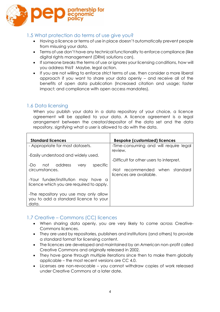

# <span id="page-3-0"></span>1.5 What protection do terms of use give you?

- Having a licence or terms of use in place doesn't automatically prevent people from misusing your data.
- Terms of use don't have any technical functionality to enforce compliance (like digital rights management (DRM) solutions can).
- If someone breaks the terms of use or ignores your licensing conditions, how will you address this? Maybe, legal action.
- If you are not willing to enforce strict terms of use, then consider a more liberal approach if you want to share your data openly – and receive all of the benefits of open data publication (Increased citation and usage; faster impact; and compliance with open access mandates).

#### <span id="page-3-1"></span>1.6 Data licensing

When you publish your data in a data repository of your choice, a licence agreement will be applied to your data. A licence agreement is a legal arrangement between the creator/depositor of the data set and the data repository, signifying what a user is allowed to do with the data.

| <b>Standard licences</b>                                                                 | <b>Bespoke (customized) licences</b>                         |
|------------------------------------------------------------------------------------------|--------------------------------------------------------------|
| - Appropriate for most datasets.                                                         | -Time-consuming and will require legal<br>review.            |
| -Easily understood and widely used.<br>address<br>specific<br>not<br>-Do<br>very         | -Difficult for other users to interpret.                     |
| circumstances.                                                                           | recommended when standard<br>-Not<br>licences are available. |
| -Your funder/institution may have a<br>licence which you are required to apply.          |                                                              |
| -The repository you use may only allow<br>you to add a standard licence to your<br>data. |                                                              |

# <span id="page-3-2"></span>1.7 Creative – Commons (CC) licences

- When sharing data openly, you are very likely to come across Creative-Commons licences.
- They are used by repositories, publishers and institutions (and others) to provide a standard format for licensing content.
- The licences are developed and maintained by an American non-profit called Creative Commons and originally released in 2002.
- They have gone through multiple iterations since then to make them globally applicable – the most recent versions are CC 4.0.
- Licenses are non-revocable you cannot withdraw copies of work released under Creative Commons at a later date.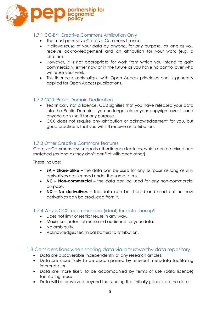

#### <span id="page-4-0"></span>1.7.1 CC-BY: Creative Commons Attribution Only

- The most permissive Creative Commons licence.
- It allows reuse of your data by anyone, for any purpose, as long as you receive acknowledgement and an attribution for your work (e.g. a citation).
- However, it is not appropriate for work from which you intend to gain commercially, either now or in the future as you have no control over who will reuse your work.
- This licence closely aligns with Open Access principles and is generally applied for Open Access publications.

#### <span id="page-4-1"></span>1.7.2 CC0: Public Domain Dedication

- Technically not a licence, CC0 signifies that you have released your data into the Public Domain – you no longer claim your copyright over it, and anyone can use it for any purpose.
- CC0 does not require any attribution or acknowledgement for you, but good practice is that you will still receive an attribution.

#### <span id="page-4-2"></span>1.7.3 Other Creative Commons features

Creative Commons also supports other licence features, which can be mixed and matched (as long as they don't conflict with each other).

These include:

- **SA – Share-alike –** the data can be used for any purpose as long as any derivatives are licensed under the same terms.
- **NC – Non-commercial –** the data can be used for any non-commercial purpose.
- **ND – No derivatives –** the data can be shared and used but no new derivatives can be produced from it.

#### <span id="page-4-3"></span>1.7.4 Why is CC0 recommended (ideal) for data sharing?

- Does not limit or restrict reuse in any way.
- Maximises potential reuse and audience for your data.
- No ambiguity.
- Acknowledges technical barriers to attribution.

#### <span id="page-4-4"></span>1.8 Considerations when sharing data via a trustworthy data repository

- Data are discoverable independently of any research articles.
- Data are more likely to be accompanied by relevant metadata facilitating interpretation.
- Data are more likely to be accompanied by terms of use (data licence) facilitating reuse.
- Data will be preserved beyond the funding that initially generated the data.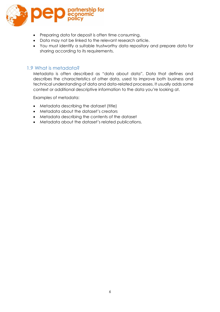

- Preparing data for deposit is often time consuming.
- Data may not be linked to the relevant research article.
- You must identify a suitable trustworthy data repository and prepare data for sharing according to its requirements.

#### <span id="page-5-0"></span>1.9 What is metadata?

Metadata is often described as "data about data". Data that defines and describes the characteristics of other data, used to improve both business and technical understanding of data and data-related processes. It usually adds some context or additional descriptive information to the data you're looking at.

Examples of metadata:

- Metadata describing the dataset (title)
- Metadata about the dataset's creators
- Metadata describing the contents of the dataset
- <span id="page-5-1"></span>• Metadata about the dataset's related publications.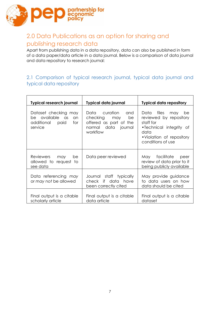

# 2.0 Data Publications as an option for sharing and publishing research data

Apart from publishing data in a data repository, data can also be published in form of a data paper/data article in a data journal. Below is a comparison of data journal and data repository to research journal:

# <span id="page-6-0"></span>2.1 Comparison of typical research journal, typical data journal and typical data repository

<span id="page-6-1"></span>

| <b>Typical research journal</b>                                                    | <b>Typical data journal</b>                                                                                | <b>Typical data repository</b>                                                                                                                      |
|------------------------------------------------------------------------------------|------------------------------------------------------------------------------------------------------------|-----------------------------------------------------------------------------------------------------------------------------------------------------|
| Dataset checking may<br>be available as<br>an<br>additional paid<br>for<br>service | Data curation<br>and<br>checking may<br>be<br>offered as part of the<br>normal data<br>journal<br>workflow | Data files<br>may<br>be<br>reviewed by repository<br>staff for<br>•Technical integrity of<br>data<br>• Violation of repository<br>conditions of use |
| Reviewers may<br>be<br>allowed to request to<br>see data                           | Data peer reviewed                                                                                         | May facilitate<br>peer<br>review of data prior to it<br>being publicly available                                                                    |
| Data referencing may<br>or may not be allowed                                      | Journal staff typically<br>check if data have<br>been correctly cited                                      | May provide guidance<br>to data users on how<br>data should be cited                                                                                |
| Final output is a citable<br>scholarly article                                     | Final output is a citable<br>data article                                                                  | Final output is a citable<br>dataset                                                                                                                |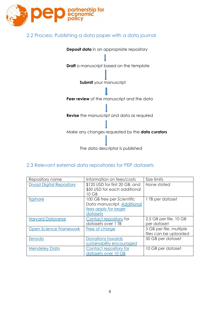

# 2.2 Process: Publishing a data paper with a data journal



# <span id="page-7-0"></span>2.3 Relevant external data repositories for PEP datasets

| Repository name                 | Information on fees/costs                                      | Size limits             |
|---------------------------------|----------------------------------------------------------------|-------------------------|
| <b>Dryad Digital Repository</b> | \$120 USD for first 20 GB, and<br>\$50 USD for each additional | None stated             |
|                                 | 10 GB                                                          |                         |
| figshare                        | 100 GB free per Scientific<br>Data manuscript. Additional      | 1 TB per dataset        |
|                                 | fees apply for larger<br>datasets                              |                         |
| <b>Harvard Dataverse</b>        | Contact repository for                                         | 2.5 GB per file, 10 GB  |
|                                 | datasets over 1 TB                                             | per dataset             |
| Open Science Framework          | Free of charge                                                 | 5 GB per file, multiple |
|                                 |                                                                | files can be uploaded   |
| Zenodo                          | Donations towards                                              | 50 GB per dataset       |
|                                 | sustainability encouraged                                      |                         |
| <b>Mendeley Data</b>            | Contact repository for                                         | 10 GB per dataset       |
|                                 | datasets over 10 GB                                            |                         |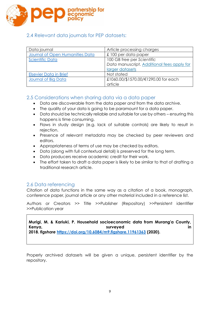

# <span id="page-8-0"></span>2.4 Relevant data journals for PEP datasets:

| Data journal                    | Article processing charges                 |
|---------------------------------|--------------------------------------------|
| Journal of Open Humanities Data | £100 per data paper                        |
| <b>Scientific Data</b>          | 100 GB free per Scientific                 |
|                                 | Data manuscript. Additional fees apply for |
|                                 | larger datasets                            |
| <b>Elsevier Data in Brief</b>   | Not stated                                 |
| Journal of Big Data             | £1060.00/\$1570.00/€1290.00 for each       |
|                                 | article                                    |

# <span id="page-8-1"></span>2.5 Considerations when sharing data via a data paper

- Data are discoverable from the data paper *and* from the data archive.
- The quality of your data is going to be paramount for a data paper.
- Data should be technically reliable and suitable for use by others ensuring this happens is time consuming.
- Flaws in study design (e.g. lack of suitable controls) are likely to result in rejection.
- Presence of relevant metadata may be checked by peer reviewers and editors.
- Appropriateness of terms of use may be checked by editors.
- Data (along with full contextual detail) is preserved for the long term.
- Data producers receive academic credit for their work.
- The effort taken to draft a data paper is likely to be similar to that of drafting a traditional research article.

# <span id="page-8-2"></span>2.6 Data referencing

Citation of data functions in the same way as a citation of a book, monograph, conference paper, journal article or any other material included in a reference list.

Authors or Creators >> Title >>Publisher (Repository) >>Persistent identifier >>Publication year

**Murigi, M. & Kariuki, P. Household socioeconomic data from Murang'a County, Kenya, surveyed in 2018.** *figshare* **[https://doi.org/10.6084/m9.figshare.11961363](https://urldefense.proofpoint.com/v2/url?u=https-3A__doi.org_10.6084_m9.figshare.11961363&d=DwMFaQ&c=vh6FgFnduejNhPPD0fl_yRaSfZy8CWbWnIf4XJhSqx8&r=fPekv2oY5L2Et3sHfK7IAww-xXGPiAFb60JXCtiNcDM&m=8uOFSfXpWsAtgAStXbjAm-yi-3UzGZl0A86EvrA3l-4&s=SepQcJBrgBp0w0GJArMPlwUHN-r6Zo_Y07KrPIdINh8&e=) (2020).**

Properly archived datasets will be given a unique, persistent identifier by the repository.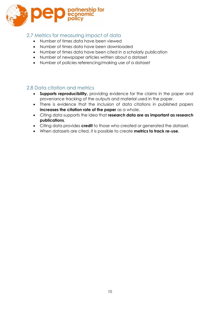

# <span id="page-9-0"></span>2.7 Metrics for measuring impact of data

- Number of times data have been viewed
- Number of times data have been downloaded
- Number of times data have been cited in a scholarly publication
- Number of newspaper articles written about a dataset
- Number of policies referencing/making use of a dataset

# <span id="page-9-1"></span>2.8 Data citation and metrics

- **Supports reproducibility,** providing evidence for the claims in the paper and provenance tracking of the outputs and material used in the paper.
- There is evidence that the inclusion of data citations in published papers **increases the citation rate of the paper** as a whole.
- Citing data supports the idea that **research data are as important as research publications**.
- Citing data provides **credit** to those who created or generated the dataset.
- <span id="page-9-2"></span>• When datasets are cited, it is possible to create **metrics to track re-use**.